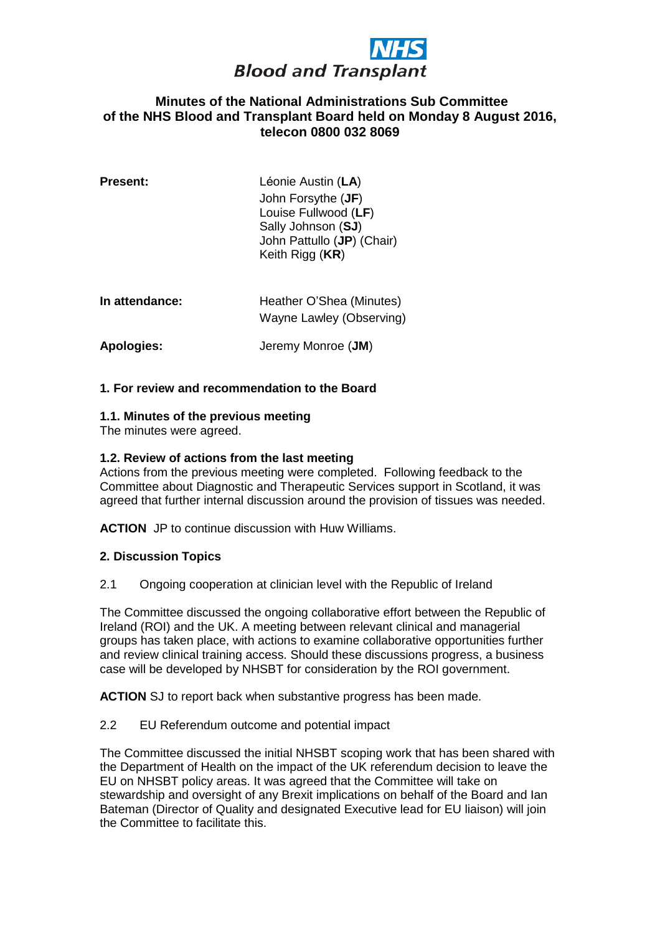

## **Minutes of the National Administrations Sub Committee of the NHS Blood and Transplant Board held on Monday 8 August 2016, telecon 0800 032 8069**

| <b>Present:</b> | Léonie Austin (LA)<br>John Forsythe ( <b>JF</b> )<br>Louise Fullwood (LF)<br>Sally Johnson (SJ)<br>John Pattullo (JP) (Chair)<br>Keith Rigg (KR) |
|-----------------|--------------------------------------------------------------------------------------------------------------------------------------------------|
| In attendance:  | Heather O'Shea (Minutes)<br>Wayne Lawley (Observing)                                                                                             |
| Apologies:      | Jeremy Monroe (JM)                                                                                                                               |

### **1. For review and recommendation to the Board**

#### **1.1. Minutes of the previous meeting**

The minutes were agreed.

#### **1.2. Review of actions from the last meeting**

Actions from the previous meeting were completed. Following feedback to the Committee about Diagnostic and Therapeutic Services support in Scotland, it was agreed that further internal discussion around the provision of tissues was needed.

**ACTION** JP to continue discussion with Huw Williams.

#### **2. Discussion Topics**

2.1 Ongoing cooperation at clinician level with the Republic of Ireland

The Committee discussed the ongoing collaborative effort between the Republic of Ireland (ROI) and the UK. A meeting between relevant clinical and managerial groups has taken place, with actions to examine collaborative opportunities further and review clinical training access. Should these discussions progress, a business case will be developed by NHSBT for consideration by the ROI government.

**ACTION** SJ to report back when substantive progress has been made.

#### 2.2 EU Referendum outcome and potential impact

The Committee discussed the initial NHSBT scoping work that has been shared with the Department of Health on the impact of the UK referendum decision to leave the EU on NHSBT policy areas. It was agreed that the Committee will take on stewardship and oversight of any Brexit implications on behalf of the Board and Ian Bateman (Director of Quality and designated Executive lead for EU liaison) will join the Committee to facilitate this.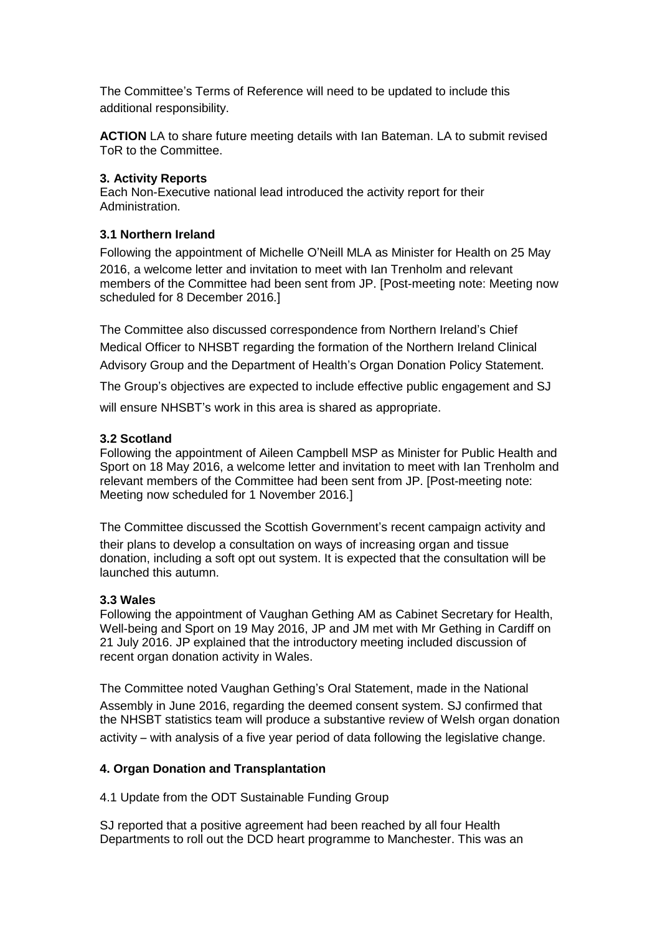The Committee's Terms of Reference will need to be updated to include this additional responsibility.

**ACTION** LA to share future meeting details with Ian Bateman. LA to submit revised ToR to the Committee.

### **3. Activity Reports**

Each Non-Executive national lead introduced the activity report for their Administration.

# **3.1 Northern Ireland**

Following the appointment of Michelle O'Neill MLA as Minister for Health on 25 May 2016, a welcome letter and invitation to meet with Ian Trenholm and relevant members of the Committee had been sent from JP. [Post-meeting note: Meeting now scheduled for 8 December 2016.]

The Committee also discussed correspondence from Northern Ireland's Chief Medical Officer to NHSBT regarding the formation of the Northern Ireland Clinical Advisory Group and the Department of Health's Organ Donation Policy Statement.

The Group's objectives are expected to include effective public engagement and SJ will ensure NHSBT's work in this area is shared as appropriate.

# **3.2 Scotland**

Following the appointment of Aileen Campbell MSP as Minister for Public Health and Sport on 18 May 2016, a welcome letter and invitation to meet with Ian Trenholm and relevant members of the Committee had been sent from JP. [Post-meeting note: Meeting now scheduled for 1 November 2016.]

The Committee discussed the Scottish Government's recent campaign activity and their plans to develop a consultation on ways of increasing organ and tissue donation, including a soft opt out system. It is expected that the consultation will be launched this autumn.

# **3.3 Wales**

Following the appointment of Vaughan Gething AM as Cabinet Secretary for Health, Well-being and Sport on 19 May 2016, JP and JM met with Mr Gething in Cardiff on 21 July 2016. JP explained that the introductory meeting included discussion of recent organ donation activity in Wales.

The Committee noted Vaughan Gething's Oral Statement, made in the National Assembly in June 2016, regarding the deemed consent system. SJ confirmed that the NHSBT statistics team will produce a substantive review of Welsh organ donation activity – with analysis of a five year period of data following the legislative change.

# **4. Organ Donation and Transplantation**

4.1 Update from the ODT Sustainable Funding Group

SJ reported that a positive agreement had been reached by all four Health Departments to roll out the DCD heart programme to Manchester. This was an